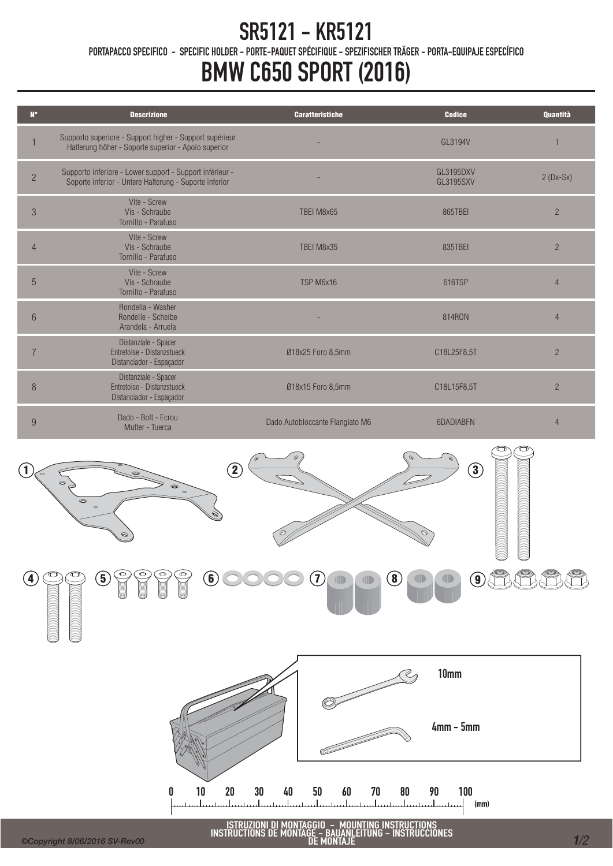## SR5121 - KR5121

PORTAPACCO SPECIFICO - SPECIFIC HOLDER - PORTE-PAQUET SPÉCIFIQUE - SPEZIFISCHER TRÄGER - PORTA-EQUIPAJE ESPECÍFICO

## BMW C650 SPORT (2016)

| $N^{\circ}$    | <b>Descrizione</b>                                                                                                 | <b>Caratteristiche</b>          | <b>Codice</b>                 | <b>Quantità</b> |
|----------------|--------------------------------------------------------------------------------------------------------------------|---------------------------------|-------------------------------|-----------------|
|                | Supporto superiore - Support higher - Support supérieur<br>Halterung höher - Soporte superior - Apoio superior     |                                 | GI 3194V                      |                 |
| $\overline{2}$ | Supporto inferiore - Lower support - Support inférieur -<br>Soporte inferior - Untere Halterung - Suporte inferior |                                 | GL3195DXV<br><b>GL3195SXV</b> | $2(Dx-Sx)$      |
| 3              | Vite - Screw<br>Vis - Schraube<br>Tornillo - Parafuso                                                              | TBEI M8x65                      | 865TBEI                       | $\overline{2}$  |
| $\overline{4}$ | Vite - Screw<br>Vis - Schraube<br>Tornillo - Parafuso                                                              | TBEI M8x35                      | 835TBEI                       | $\overline{2}$  |
| 5              | Vite - Screw<br>Vis - Schraube<br>Tornillo - Parafuso                                                              | TSP M6x16                       | 616TSP                        | 4               |
| 6              | Rondella - Washer<br>Rondelle - Scheibe<br>Arandela - Arruela                                                      |                                 | 814RON                        | 4               |
|                | Distanziale - Spacer<br>Entretoise - Distanzstueck<br>Distanciador - Espaçador                                     | Ø18x25 Foro 8,5mm               | C18L25F8,5T                   | $\overline{2}$  |
| 8              | Distanziale - Spacer<br>Entretoise - Distanzstueck<br>Distanciador - Espaçador                                     | Ø18x15 Foro 8,5mm               | C18L15F8,5T                   | $\overline{2}$  |
| 9              | Dado - Bolt - Fcrou<br>Mutter - Tuerca                                                                             | Dado Autobloccante Flangiato M6 | 6DADIABEN                     | $\overline{4}$  |
|                |                                                                                                                    |                                 |                               |                 |





ISTRUZIONI DI MONTAGGIO – MOUNTING INSTRUCTIONS<br>INSTRUCTIONS DE MONTAGE – BAUANLEITUNG – INSTRUCCIONES INTA I